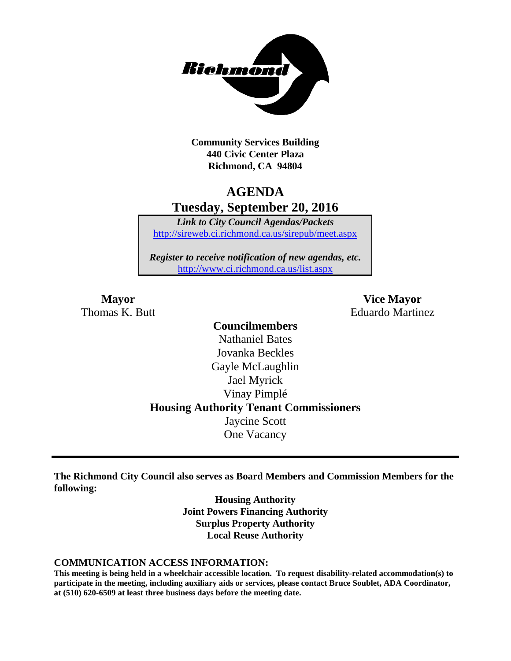

**Community Services Building 440 Civic Center Plaza Richmond, CA 94804**

# **AGENDA Tuesday, September 20, 2016**

*Link to City Council Agendas/Packets* <http://sireweb.ci.richmond.ca.us/sirepub/meet.aspx>

*Register to receive notification of new agendas, etc.* <http://www.ci.richmond.ca.us/list.aspx>

**Mayor Vice Mayor** Thomas K. Butt **Eduardo Martinez** 

### **Councilmembers** Nathaniel Bates Jovanka Beckles Gayle McLaughlin Jael Myrick Vinay Pimplé **Housing Authority Tenant Commissioners** Jaycine Scott One Vacancy

**The Richmond City Council also serves as Board Members and Commission Members for the following:**

> **Housing Authority Joint Powers Financing Authority Surplus Property Authority Local Reuse Authority**

#### **COMMUNICATION ACCESS INFORMATION:**

**This meeting is being held in a wheelchair accessible location. To request disability-related accommodation(s) to participate in the meeting, including auxiliary aids or services, please contact Bruce Soublet, ADA Coordinator, at (510) 620-6509 at least three business days before the meeting date.**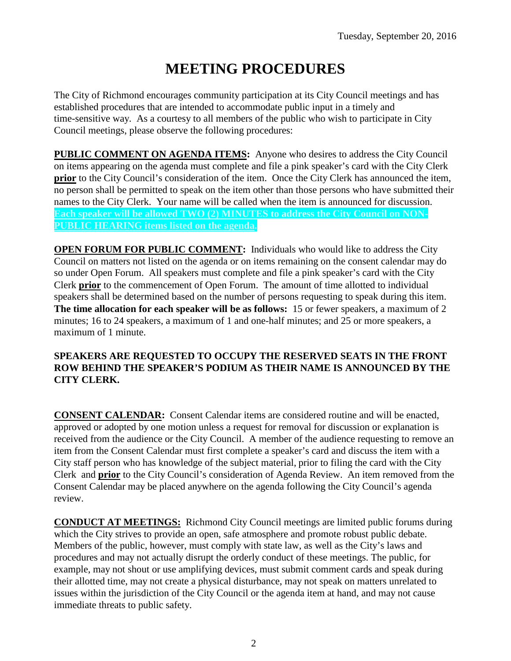# **MEETING PROCEDURES**

The City of Richmond encourages community participation at its City Council meetings and has established procedures that are intended to accommodate public input in a timely and time-sensitive way. As a courtesy to all members of the public who wish to participate in City Council meetings, please observe the following procedures:

**PUBLIC COMMENT ON AGENDA ITEMS:** Anyone who desires to address the City Council on items appearing on the agenda must complete and file a pink speaker's card with the City Clerk **prior** to the City Council's consideration of the item. Once the City Clerk has announced the item, no person shall be permitted to speak on the item other than those persons who have submitted their names to the City Clerk. Your name will be called when the item is announced for discussion. **Each speaker will be allowed TWO (2) MINUTES to address the City Council on NON-PUBLIC HEARING items listed on the agenda.**

**OPEN FORUM FOR PUBLIC COMMENT:** Individuals who would like to address the City Council on matters not listed on the agenda or on items remaining on the consent calendar may do so under Open Forum. All speakers must complete and file a pink speaker's card with the City Clerk **prior** to the commencement of Open Forum. The amount of time allotted to individual speakers shall be determined based on the number of persons requesting to speak during this item. **The time allocation for each speaker will be as follows:** 15 or fewer speakers, a maximum of 2 minutes; 16 to 24 speakers, a maximum of 1 and one-half minutes; and 25 or more speakers, a maximum of 1 minute.

### **SPEAKERS ARE REQUESTED TO OCCUPY THE RESERVED SEATS IN THE FRONT ROW BEHIND THE SPEAKER'S PODIUM AS THEIR NAME IS ANNOUNCED BY THE CITY CLERK.**

**CONSENT CALENDAR:** Consent Calendar items are considered routine and will be enacted, approved or adopted by one motion unless a request for removal for discussion or explanation is received from the audience or the City Council. A member of the audience requesting to remove an item from the Consent Calendar must first complete a speaker's card and discuss the item with a City staff person who has knowledge of the subject material, prior to filing the card with the City Clerk and **prior** to the City Council's consideration of Agenda Review. An item removed from the Consent Calendar may be placed anywhere on the agenda following the City Council's agenda review.

**CONDUCT AT MEETINGS:** Richmond City Council meetings are limited public forums during which the City strives to provide an open, safe atmosphere and promote robust public debate. Members of the public, however, must comply with state law, as well as the City's laws and procedures and may not actually disrupt the orderly conduct of these meetings. The public, for example, may not shout or use amplifying devices, must submit comment cards and speak during their allotted time, may not create a physical disturbance, may not speak on matters unrelated to issues within the jurisdiction of the City Council or the agenda item at hand, and may not cause immediate threats to public safety.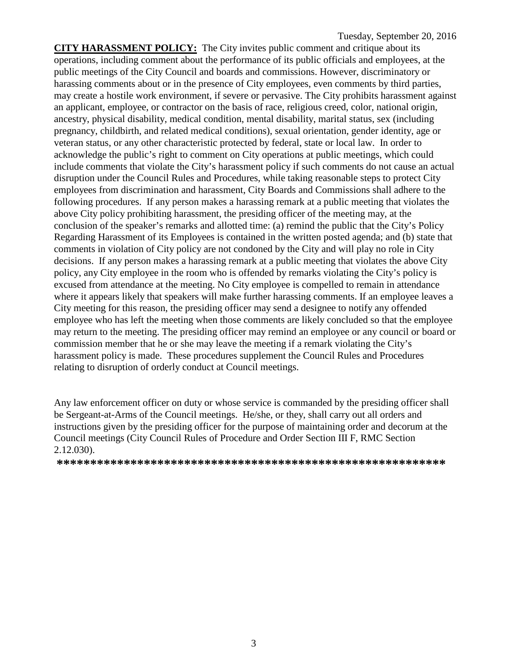**CITY HARASSMENT POLICY:** The City invites public comment and critique about its operations, including comment about the performance of its public officials and employees, at the public meetings of the City Council and boards and commissions. However, discriminatory or harassing comments about or in the presence of City employees, even comments by third parties, may create a hostile work environment, if severe or pervasive. The City prohibits harassment against an applicant, employee, or contractor on the basis of race, religious creed, color, national origin, ancestry, physical disability, medical condition, mental disability, marital status, sex (including pregnancy, childbirth, and related medical conditions), sexual orientation, gender identity, age or veteran status, or any other characteristic protected by federal, state or local law. In order to acknowledge the public's right to comment on City operations at public meetings, which could include comments that violate the City's harassment policy if such comments do not cause an actual disruption under the Council Rules and Procedures, while taking reasonable steps to protect City employees from discrimination and harassment, City Boards and Commissions shall adhere to the following procedures. If any person makes a harassing remark at a public meeting that violates the above City policy prohibiting harassment, the presiding officer of the meeting may, at the conclusion of the speaker's remarks and allotted time: (a) remind the public that the City's Policy Regarding Harassment of its Employees is contained in the written posted agenda; and (b) state that comments in violation of City policy are not condoned by the City and will play no role in City decisions. If any person makes a harassing remark at a public meeting that violates the above City policy, any City employee in the room who is offended by remarks violating the City's policy is excused from attendance at the meeting. No City employee is compelled to remain in attendance where it appears likely that speakers will make further harassing comments. If an employee leaves a City meeting for this reason, the presiding officer may send a designee to notify any offended employee who has left the meeting when those comments are likely concluded so that the employee may return to the meeting. The presiding officer may remind an employee or any council or board or commission member that he or she may leave the meeting if a remark violating the City's harassment policy is made. These procedures supplement the Council Rules and Procedures relating to disruption of orderly conduct at Council meetings.

Any law enforcement officer on duty or whose service is commanded by the presiding officer shall be Sergeant-at-Arms of the Council meetings. He/she, or they, shall carry out all orders and instructions given by the presiding officer for the purpose of maintaining order and decorum at the Council meetings (City Council Rules of Procedure and Order Section III F, RMC Section 2.12.030).

**\*\*\*\*\*\*\*\*\*\*\*\*\*\*\*\*\*\*\*\*\*\*\*\*\*\*\*\*\*\*\*\*\*\*\*\*\*\*\*\*\*\*\*\*\*\*\*\*\*\*\*\*\*\*\*\*\*\***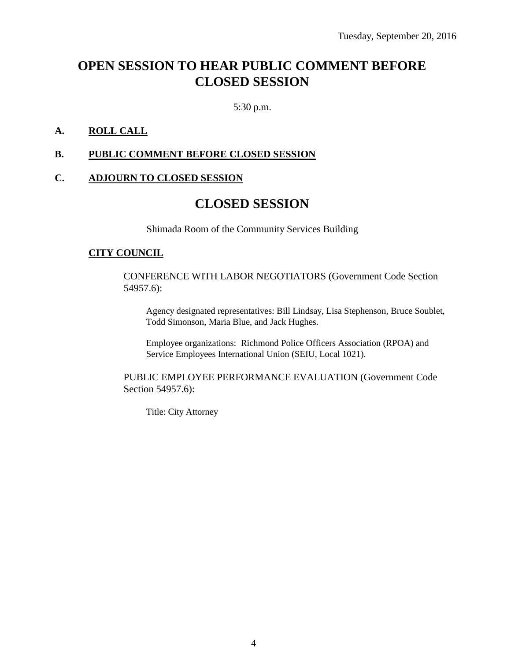# **OPEN SESSION TO HEAR PUBLIC COMMENT BEFORE CLOSED SESSION**

5:30 p.m.

### **A. ROLL CALL**

### **B. PUBLIC COMMENT BEFORE CLOSED SESSION**

### **C. ADJOURN TO CLOSED SESSION**

### **CLOSED SESSION**

Shimada Room of the Community Services Building

#### **CITY COUNCIL**

CONFERENCE WITH LABOR NEGOTIATORS (Government Code Section 54957.6):

Agency designated representatives: Bill Lindsay, Lisa Stephenson, Bruce Soublet, Todd Simonson, Maria Blue, and Jack Hughes.

Employee organizations: Richmond Police Officers Association (RPOA) and Service Employees International Union (SEIU, Local 1021).

PUBLIC EMPLOYEE PERFORMANCE EVALUATION (Government Code Section 54957.6):

Title: City Attorney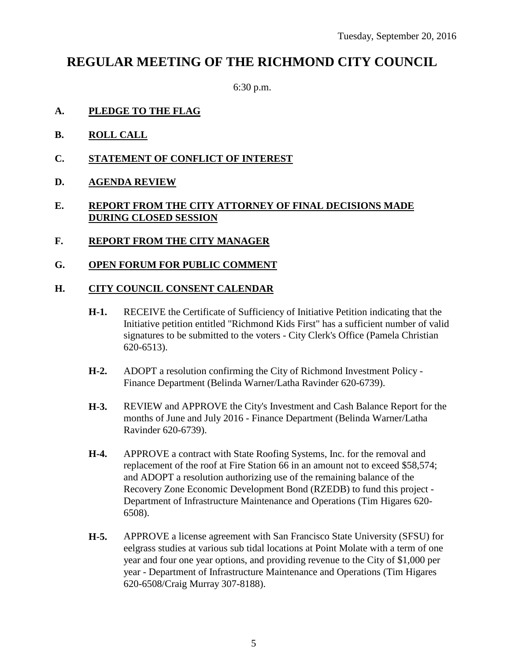# **REGULAR MEETING OF THE RICHMOND CITY COUNCIL**

6:30 p.m.

- **A. PLEDGE TO THE FLAG**
- **B. ROLL CALL**
- **C. STATEMENT OF CONFLICT OF INTEREST**
- **D. AGENDA REVIEW**

### **E. REPORT FROM THE CITY ATTORNEY OF FINAL DECISIONS MADE DURING CLOSED SESSION**

- **F. REPORT FROM THE CITY MANAGER**
- **G. OPEN FORUM FOR PUBLIC COMMENT**

### **H. CITY COUNCIL CONSENT CALENDAR**

- **H-1.** RECEIVE the Certificate of Sufficiency of Initiative Petition indicating that the Initiative petition entitled "Richmond Kids First" has a sufficient number of valid signatures to be submitted to the voters - City Clerk's Office (Pamela Christian 620-6513).
- **H-2.** ADOPT a resolution confirming the City of Richmond Investment Policy Finance Department (Belinda Warner/Latha Ravinder 620-6739).
- **H-3.** REVIEW and APPROVE the City's Investment and Cash Balance Report for the months of June and July 2016 - Finance Department (Belinda Warner/Latha Ravinder 620-6739).
- **H-4.** APPROVE a contract with State Roofing Systems, Inc. for the removal and replacement of the roof at Fire Station 66 in an amount not to exceed \$58,574; and ADOPT a resolution authorizing use of the remaining balance of the Recovery Zone Economic Development Bond (RZEDB) to fund this project - Department of Infrastructure Maintenance and Operations (Tim Higares 620- 6508).
- **H-5.** APPROVE a license agreement with San Francisco State University (SFSU) for eelgrass studies at various sub tidal locations at Point Molate with a term of one year and four one year options, and providing revenue to the City of \$1,000 per year - Department of Infrastructure Maintenance and Operations (Tim Higares 620-6508/Craig Murray 307-8188).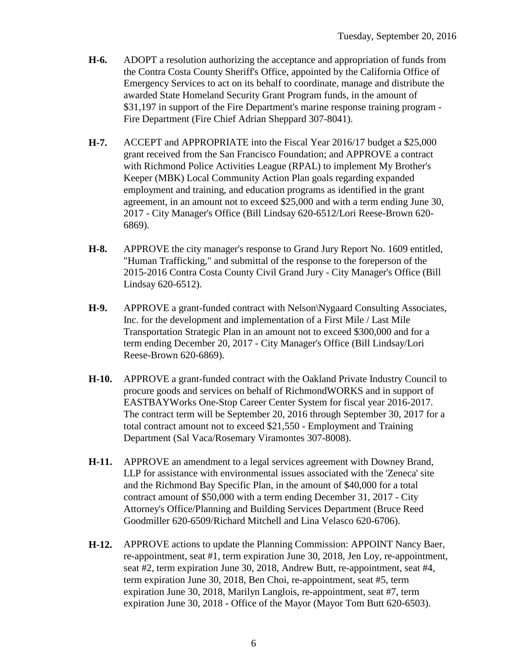- **H-6.** ADOPT a resolution authorizing the acceptance and appropriation of funds from the Contra Costa County Sheriff's Office, appointed by the California Office of Emergency Services to act on its behalf to coordinate, manage and distribute the awarded State Homeland Security Grant Program funds, in the amount of \$31,197 in support of the Fire Department's marine response training program - Fire Department (Fire Chief Adrian Sheppard 307-8041).
- **H-7.** ACCEPT and APPROPRIATE into the Fiscal Year 2016/17 budget a \$25,000 grant received from the San Francisco Foundation; and APPROVE a contract with Richmond Police Activities League (RPAL) to implement My Brother's Keeper (MBK) Local Community Action Plan goals regarding expanded employment and training, and education programs as identified in the grant agreement, in an amount not to exceed \$25,000 and with a term ending June 30, 2017 - City Manager's Office (Bill Lindsay 620-6512/Lori Reese-Brown 620- 6869).
- **H-8.** APPROVE the city manager's response to Grand Jury Report No. 1609 entitled, "Human Trafficking," and submittal of the response to the foreperson of the 2015-2016 Contra Costa County Civil Grand Jury - City Manager's Office (Bill Lindsay 620-6512).
- **H-9.** APPROVE a grant-funded contract with Nelson\Nygaard Consulting Associates, Inc. for the development and implementation of a First Mile / Last Mile Transportation Strategic Plan in an amount not to exceed \$300,000 and for a term ending December 20, 2017 - City Manager's Office (Bill Lindsay/Lori Reese-Brown 620-6869).
- **H-10.** APPROVE a grant-funded contract with the Oakland Private Industry Council to procure goods and services on behalf of RichmondWORKS and in support of EASTBAYWorks One-Stop Career Center System for fiscal year 2016-2017. The contract term will be September 20, 2016 through September 30, 2017 for a total contract amount not to exceed \$21,550 - Employment and Training Department (Sal Vaca/Rosemary Viramontes 307-8008).
- **H-11.** APPROVE an amendment to a legal services agreement with Downey Brand, LLP for assistance with environmental issues associated with the 'Zeneca' site and the Richmond Bay Specific Plan, in the amount of \$40,000 for a total contract amount of \$50,000 with a term ending December 31, 2017 - City Attorney's Office/Planning and Building Services Department (Bruce Reed Goodmiller 620-6509/Richard Mitchell and Lina Velasco 620-6706).
- **H-12.** APPROVE actions to update the Planning Commission: APPOINT Nancy Baer, re-appointment, seat #1, term expiration June 30, 2018, Jen Loy, re-appointment, seat #2, term expiration June 30, 2018, Andrew Butt, re-appointment, seat #4, term expiration June 30, 2018, Ben Choi, re-appointment, seat #5, term expiration June 30, 2018, Marilyn Langlois, re-appointment, seat #7, term expiration June 30, 2018 - Office of the Mayor (Mayor Tom Butt 620-6503).